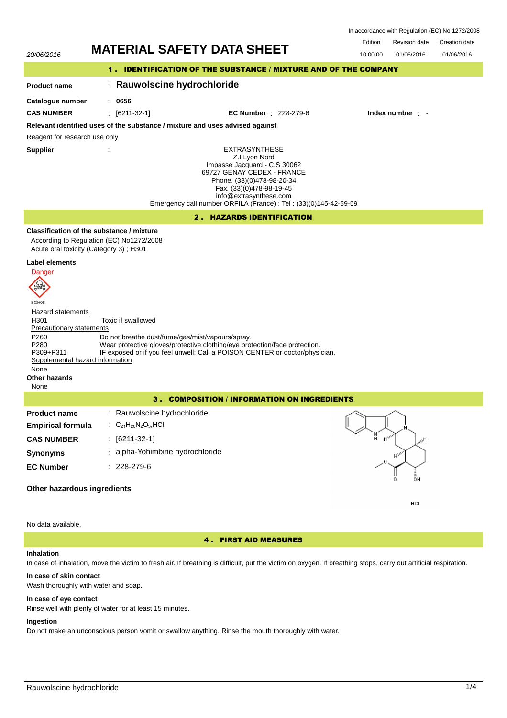In accordance with Regulation (EC) No 1272/2008

Edition Revision date Creation date



No data available.

4 . FIRST AID MEASURES

## **Inhalation**

In case of inhalation, move the victim to fresh air. If breathing is difficult, put the victim on oxygen. If breathing stops, carry out artificial respiration.

## **In case of skin contact**

Wash thoroughly with water and soap.

### **In case of eye contact**

Rinse well with plenty of water for at least 15 minutes.

# **Ingestion**

Do not make an unconscious person vomit or swallow anything. Rinse the mouth thoroughly with water.

HCI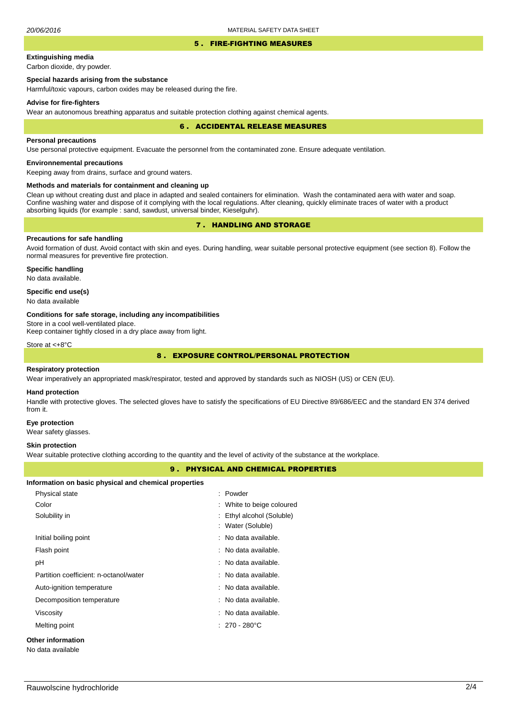### 5 . FIRE-FIGHTING MEASURES

# **Extinguishing media**

Carbon dioxide, dry powder.

## **Special hazards arising from the substance**

Harmful/toxic vapours, carbon oxides may be released during the fire.

### **Advise for fire-fighters**

Wear an autonomous breathing apparatus and suitable protection clothing against chemical agents.

### 6 . ACCIDENTAL RELEASE MEASURES

#### **Personal precautions**

Use personal protective equipment. Evacuate the personnel from the contaminated zone. Ensure adequate ventilation.

## **Environnemental precautions**

Keeping away from drains, surface and ground waters.

### **Methods and materials for containment and cleaning up**

Clean up without creating dust and place in adapted and sealed containers for elimination. Wash the contaminated aera with water and soap. Confine washing water and dispose of it complying with the local regulations. After cleaning, quickly eliminate traces of water with a product absorbing liquids (for example : sand, sawdust, universal binder, Kieselguhr).

# 7 . HANDLING AND STORAGE

## **Precautions for safe handling**

Avoid formation of dust. Avoid contact with skin and eyes. During handling, wear suitable personal protective equipment (see section 8). Follow the normal measures for preventive fire protection.

**Specific handling** No data available.

## **Specific end use(s)**

No data available

### **Conditions for safe storage, including any incompatibilities**

Store in a cool well-ventilated place.

Keep container tightly closed in a dry place away from light.

Store at <+8°C

# 8 . EXPOSURE CONTROL/PERSONAL PROTECTION

### **Respiratory protection**

Wear imperatively an appropriated mask/respirator, tested and approved by standards such as NIOSH (US) or CEN (EU).

### **Hand protection**

Handle with protective gloves. The selected gloves have to satisfy the specifications of EU Directive 89/686/EEC and the standard EN 374 derived from it.

### **Eye protection**

Wear safety glasses.

### **Skin protection**

Wear suitable protective clothing according to the quantity and the level of activity of the substance at the workplace.

## 9 . PHYSICAL AND CHEMICAL PROPERTIES

### **Information on basic physical and chemical properties**

| Physical state                         | : Powder                                       |
|----------------------------------------|------------------------------------------------|
| Color                                  | : White to beige coloured                      |
| Solubility in                          | : Ethyl alcohol (Soluble)<br>: Water (Soluble) |
| Initial boiling point                  | : No data available.                           |
| Flash point                            | : No data available.                           |
| рH                                     | : No data available.                           |
| Partition coefficient: n-octanol/water | : No data available.                           |
| Auto-ignition temperature              | : No data available.                           |
| Decomposition temperature              | : No data available.                           |
| Viscosity                              | : No data available.                           |
| Melting point                          | $: 270 - 280^{\circ}$ C                        |
| <b>Other information</b>               |                                                |
| No data available                      |                                                |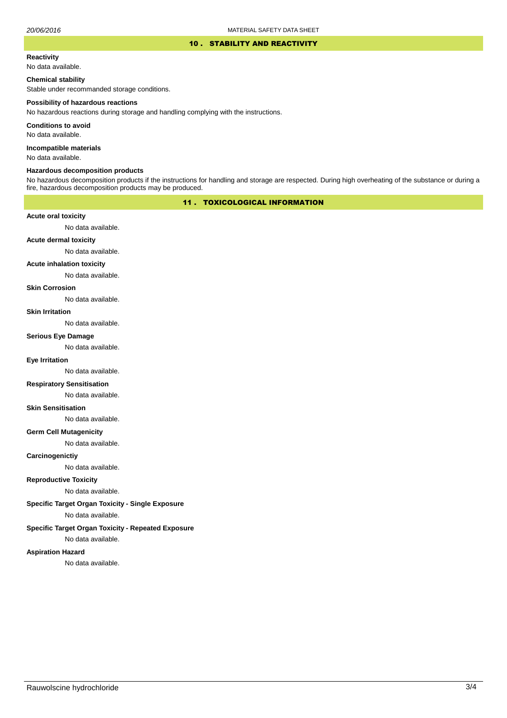### 10 . STABILITY AND REACTIVITY

### **Reactivity**

No data available.

## **Chemical stability**

Stable under recommanded storage conditions.

### **Possibility of hazardous reactions**

No hazardous reactions during storage and handling complying with the instructions.

**Conditions to avoid**

No data available.

**Incompatible materials**

No data available.

### **Hazardous decomposition products**

No hazardous decomposition products if the instructions for handling and storage are respected. During high overheating of the substance or during a fire, hazardous decomposition products may be produced.

# 11 . TOXICOLOGICAL INFORMATION

## **Acute oral toxicity**

No data available.

# **Acute dermal toxicity**

No data available.

## **Acute inhalation toxicity**

No data available.

## **Skin Corrosion**

No data available.

### **Skin Irritation**

No data available.

### **Serious Eye Damage**

No data available.

# **Eye Irritation**

No data available.

## **Respiratory Sensitisation**

No data available.

### **Skin Sensitisation**

No data available.

## **Germ Cell Mutagenicity**

No data available.

## **Carcinogenictiy**

No data available.

# **Reproductive Toxicity**

No data available.

# **Specific Target Organ Toxicity - Single Exposure**

No data available.

## **Specific Target Organ Toxicity - Repeated Exposure**

No data available.

### **Aspiration Hazard**

No data available.